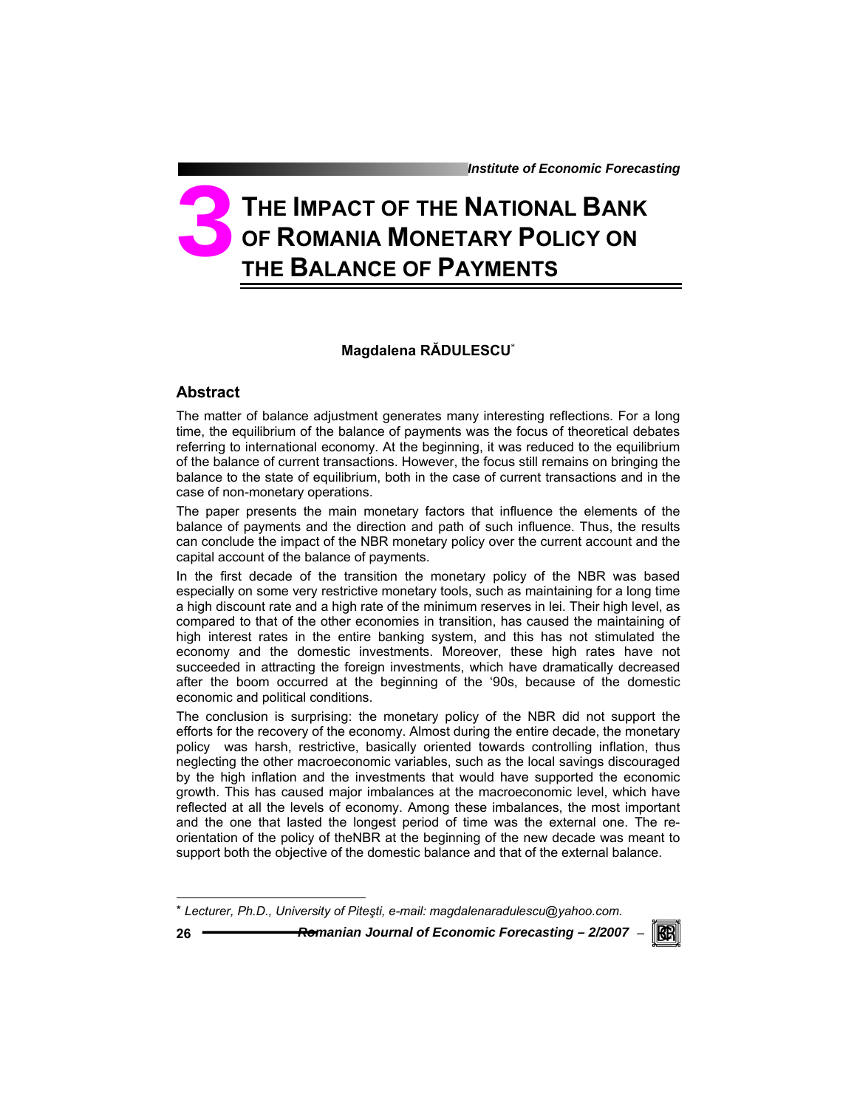# **THE IMPACT OF THE NATIONAL BANK OF ROMANIA MONETARY POLICY ON THE BALANCE OF PAYMENTS 3**

## **Magdalena RĂDULESCU**\*

## **Abstract**

The matter of balance adjustment generates many interesting reflections. For a long time, the equilibrium of the balance of payments was the focus of theoretical debates referring to international economy. At the beginning, it was reduced to the equilibrium of the balance of current transactions. However, the focus still remains on bringing the balance to the state of equilibrium, both in the case of current transactions and in the case of non-monetary operations.

The paper presents the main monetary factors that influence the elements of the balance of payments and the direction and path of such influence. Thus, the results can conclude the impact of the NBR monetary policy over the current account and the capital account of the balance of payments.

In the first decade of the transition the monetary policy of the NBR was based especially on some very restrictive monetary tools, such as maintaining for a long time a high discount rate and a high rate of the minimum reserves in lei. Their high level, as compared to that of the other economies in transition, has caused the maintaining of high interest rates in the entire banking system, and this has not stimulated the economy and the domestic investments. Moreover, these high rates have not succeeded in attracting the foreign investments, which have dramatically decreased after the boom occurred at the beginning of the '90s, because of the domestic economic and political conditions.

The conclusion is surprising: the monetary policy of the NBR did not support the efforts for the recovery of the economy. Almost during the entire decade, the monetary policy was harsh, restrictive, basically oriented towards controlling inflation, thus neglecting the other macroeconomic variables, such as the local savings discouraged by the high inflation and the investments that would have supported the economic growth. This has caused major imbalances at the macroeconomic level, which have reflected at all the levels of economy. Among these imbalances, the most important and the one that lasted the longest period of time was the external one. The reorientation of the policy of theNBR at the beginning of the new decade was meant to support both the objective of the domestic balance and that of the external balance.

\* *Lecturer, Ph.D., University of Piteşti, e-mail: magdalenaradulescu@yahoo.com.* 

**26** *Romanian Journal of Economic Forecasting – 2/2007* <sup>−</sup>



l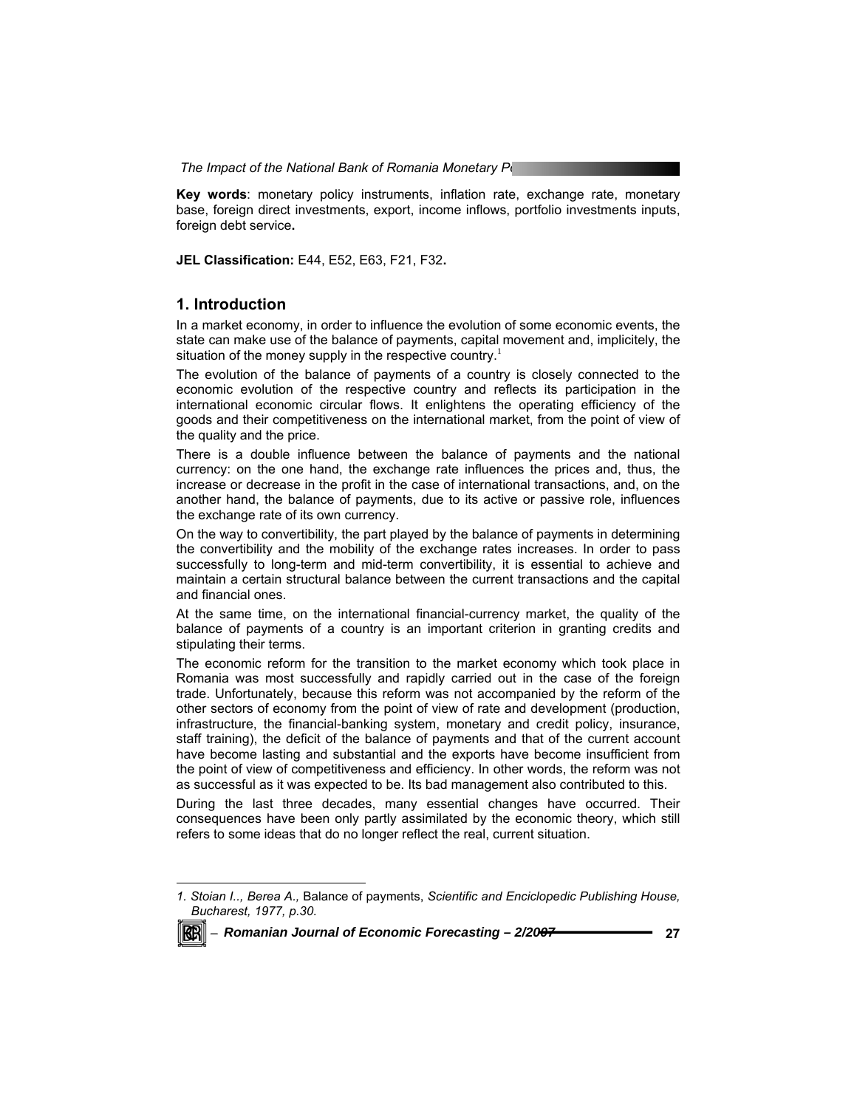**Key words**: monetary policy instruments, inflation rate, exchange rate, monetary base, foreign direct investments, export, income inflows, portfolio investments inputs, foreign debt service**.** 

**JEL Classification:** E44, E52, E63, F21, F32**.** 

#### **1. Introduction**

In a market economy, in order to influence the evolution of some economic events, the state can make use of the balance of payments, capital movement and, implicitely, the situation of the money supply in the respective country.<sup>1</sup>

The evolution of the balance of payments of a country is closely connected to the economic evolution of the respective country and reflects its participation in the international economic circular flows. It enlightens the operating efficiency of the goods and their competitiveness on the international market, from the point of view of the quality and the price.

There is a double influence between the balance of payments and the national currency: on the one hand, the exchange rate influences the prices and, thus, the increase or decrease in the profit in the case of international transactions, and, on the another hand, the balance of payments, due to its active or passive role, influences the exchange rate of its own currency.

On the way to convertibility, the part played by the balance of payments in determining the convertibility and the mobility of the exchange rates increases. In order to pass successfully to long-term and mid-term convertibility, it is essential to achieve and maintain a certain structural balance between the current transactions and the capital and financial ones.

At the same time, on the international financial-currency market, the quality of the balance of payments of a country is an important criterion in granting credits and stipulating their terms.

The economic reform for the transition to the market economy which took place in Romania was most successfully and rapidly carried out in the case of the foreign trade. Unfortunately, because this reform was not accompanied by the reform of the other sectors of economy from the point of view of rate and development (production, infrastructure, the financial-banking system, monetary and credit policy, insurance, staff training), the deficit of the balance of payments and that of the current account have become lasting and substantial and the exports have become insufficient from the point of view of competitiveness and efficiency. In other words, the reform was not as successful as it was expected to be. Its bad management also contributed to this.

During the last three decades, many essential changes have occurred. Their consequences have been only partly assimilated by the economic theory, which still refers to some ideas that do no longer reflect the real, current situation.

*<sup>1.</sup> Stoian I.., Berea A.,* Balance of payments, *Scientific and Enciclopedic Publishing House, Bucharest, 1977, p.30.* 



-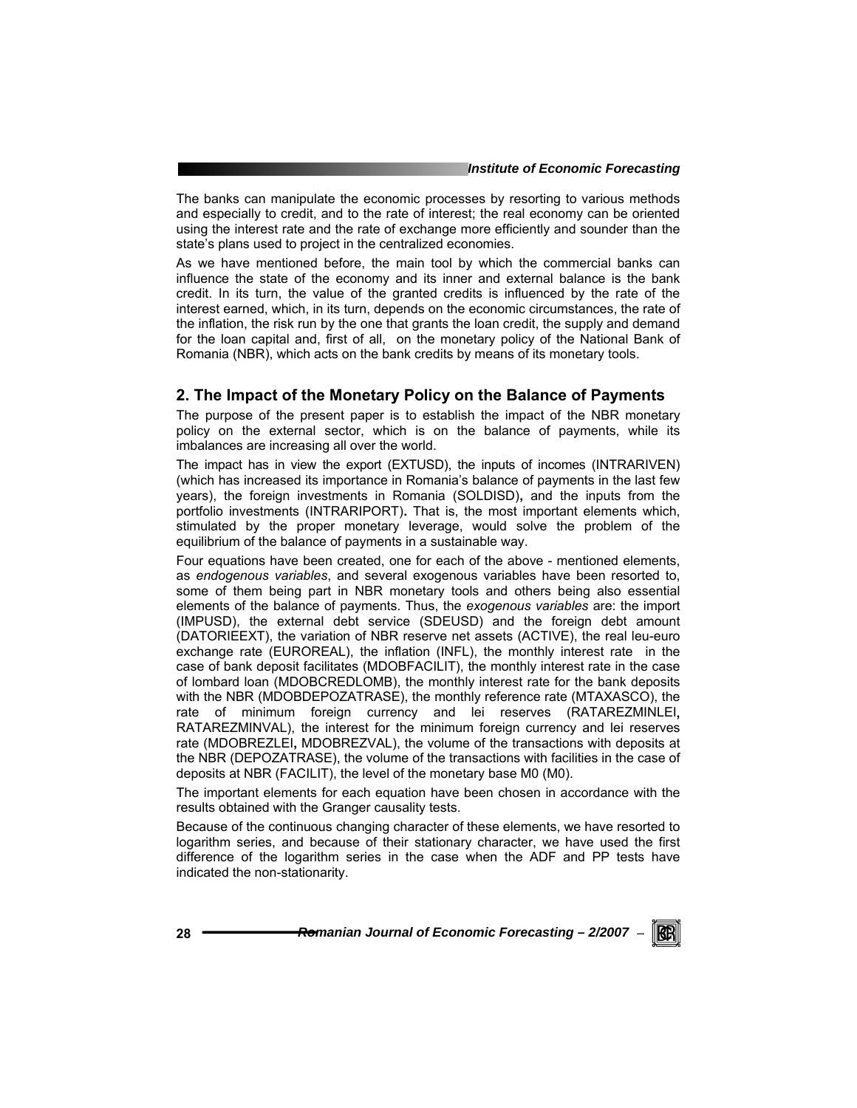The banks can manipulate the economic processes by resorting to various methods and especially to credit, and to the rate of interest; the real economy can be oriented using the interest rate and the rate of exchange more efficiently and sounder than the state's plans used to project in the centralized economies.

As we have mentioned before, the main tool by which the commercial banks can influence the state of the economy and its inner and external balance is the bank credit. In its turn, the value of the granted credits is influenced by the rate of the interest earned, which, in its turn, depends on the economic circumstances, the rate of the inflation, the risk run by the one that grants the loan credit, the supply and demand for the loan capital and, first of all, on the monetary policy of the National Bank of Romania (NBR), which acts on the bank credits by means of its monetary tools.

## **2. The Impact of the Monetary Policy on the Balance of Payments**

The purpose of the present paper is to establish the impact of the NBR monetary policy on the external sector, which is on the balance of payments, while its imbalances are increasing all over the world.

The impact has in view the export (EXTUSD), the inputs of incomes (INTRARIVEN) (which has increased its importance in Romania's balance of payments in the last few years), the foreign investments in Romania (SOLDISD)**,** and the inputs from the portfolio investments (INTRARIPORT)**.** That is, the most important elements which, stimulated by the proper monetary leverage, would solve the problem of the equilibrium of the balance of payments in a sustainable way.

Four equations have been created, one for each of the above - mentioned elements, as *endogenous variables*, and several exogenous variables have been resorted to, some of them being part in NBR monetary tools and others being also essential elements of the balance of payments. Thus, the *exogenous variables* are: the import (IMPUSD), the external debt service (SDEUSD) and the foreign debt amount (DATORIEEXT), the variation of NBR reserve net assets (ACTIVE), the real leu-euro exchange rate (EUROREAL), the inflation (INFL), the monthly interest rate in the case of bank deposit facilitates (MDOBFACILIT), the monthly interest rate in the case of lombard loan (MDOBCREDLOMB), the monthly interest rate for the bank deposits with the NBR (MDOBDEPOZATRASE), the monthly reference rate (MTAXASCO), the rate of minimum foreign currency and lei reserves (RATAREZMINLEI**,**  RATAREZMINVAL), the interest for the minimum foreign currency and lei reserves rate (MDOBREZLEI**,** MDOBREZVAL), the volume of the transactions with deposits at the NBR (DEPOZATRASE), the volume of the transactions with facilities in the case of deposits at NBR (FACILIT), the level of the monetary base M0 (M0).

The important elements for each equation have been chosen in accordance with the results obtained with the Granger causality tests.

Because of the continuous changing character of these elements, we have resorted to logarithm series, and because of their stationary character, we have used the first difference of the logarithm series in the case when the ADF and PP tests have indicated the non-stationarity.

28 **────────Romanian Journal of Economic Forecasting – 2/2007 - <b>€** 

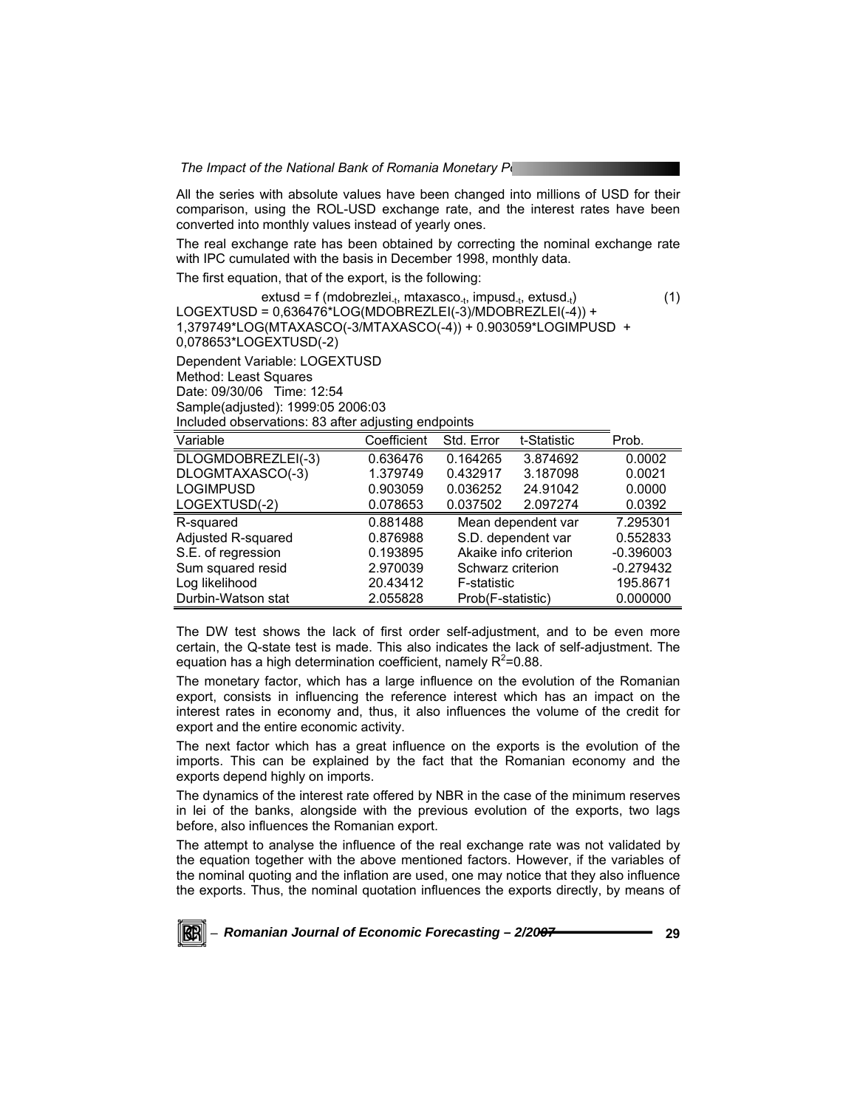*The Impact of the National Bank of Romania Monetary Policy Policy Romania* 

All the series with absolute values have been changed into millions of USD for their comparison, using the ROL-USD exchange rate, and the interest rates have been converted into monthly values instead of yearly ones.

The real exchange rate has been obtained by correcting the nominal exchange rate with IPC cumulated with the basis in December 1998, monthly data.

The first equation, that of the export, is the following:

 $ext{ust} = f (mdobrezlei_{-t}, mtaxasco_{-t}, impusd_{-t}, extusd_{-t})$  (1) LOGEXTUSD = 0,636476\*LOG(MDOBREZLEI(-3)/MDOBREZLEI(-4)) + 1,379749\*LOG(MTAXASCO(-3/MTAXASCO(-4)) + 0.903059\*LOGIMPUSD + 0,078653\*LOGEXTUSD(-2) Dependent Variable: LOGEXTUSD Method: Least Squares Date: 09/30/06 Time: 12:54 Sample(adjusted): 1999:05 2006:03 Included observations: 83 after adjusting endpoints

| Variable           | Coefficient | Std. Error        | t-Statistic           | Prob.       |
|--------------------|-------------|-------------------|-----------------------|-------------|
| DLOGMDOBREZLEI(-3) | 0.636476    | 0.164265          | 3.874692              | 0.0002      |
| DLOGMTAXASCO(-3)   | 1.379749    | 0.432917          | 3.187098              | 0.0021      |
| <b>LOGIMPUSD</b>   | 0.903059    | 0.036252          | 24.91042              | 0.0000      |
| LOGEXTUSD(-2)      | 0.078653    | 0.037502          | 2.097274              | 0.0392      |
| R-squared          | 0.881488    |                   | Mean dependent var    | 7.295301    |
| Adjusted R-squared | 0.876988    |                   | S.D. dependent var    | 0.552833    |
| S.E. of regression | 0.193895    |                   | Akaike info criterion | $-0.396003$ |
| Sum squared resid  | 2.970039    | Schwarz criterion |                       | $-0.279432$ |
| Log likelihood     | 20.43412    | F-statistic       |                       | 195.8671    |
| Durbin-Watson stat | 2.055828    | Prob(F-statistic) |                       | 0.000000    |

The DW test shows the lack of first order self-adjustment, and to be even more certain, the Q-state test is made. This also indicates the lack of self-adjustment. The equation has a high determination coefficient, namely  $R^2$ =0.88.

The monetary factor, which has a large influence on the evolution of the Romanian export, consists in influencing the reference interest which has an impact on the interest rates in economy and, thus, it also influences the volume of the credit for export and the entire economic activity.

The next factor which has a great influence on the exports is the evolution of the imports. This can be explained by the fact that the Romanian economy and the exports depend highly on imports.

The dynamics of the interest rate offered by NBR in the case of the minimum reserves in lei of the banks, alongside with the previous evolution of the exports, two lags before, also influences the Romanian export.

The attempt to analyse the influence of the real exchange rate was not validated by the equation together with the above mentioned factors. However, if the variables of the nominal quoting and the inflation are used, one may notice that they also influence the exports. Thus, the nominal quotation influences the exports directly, by means of

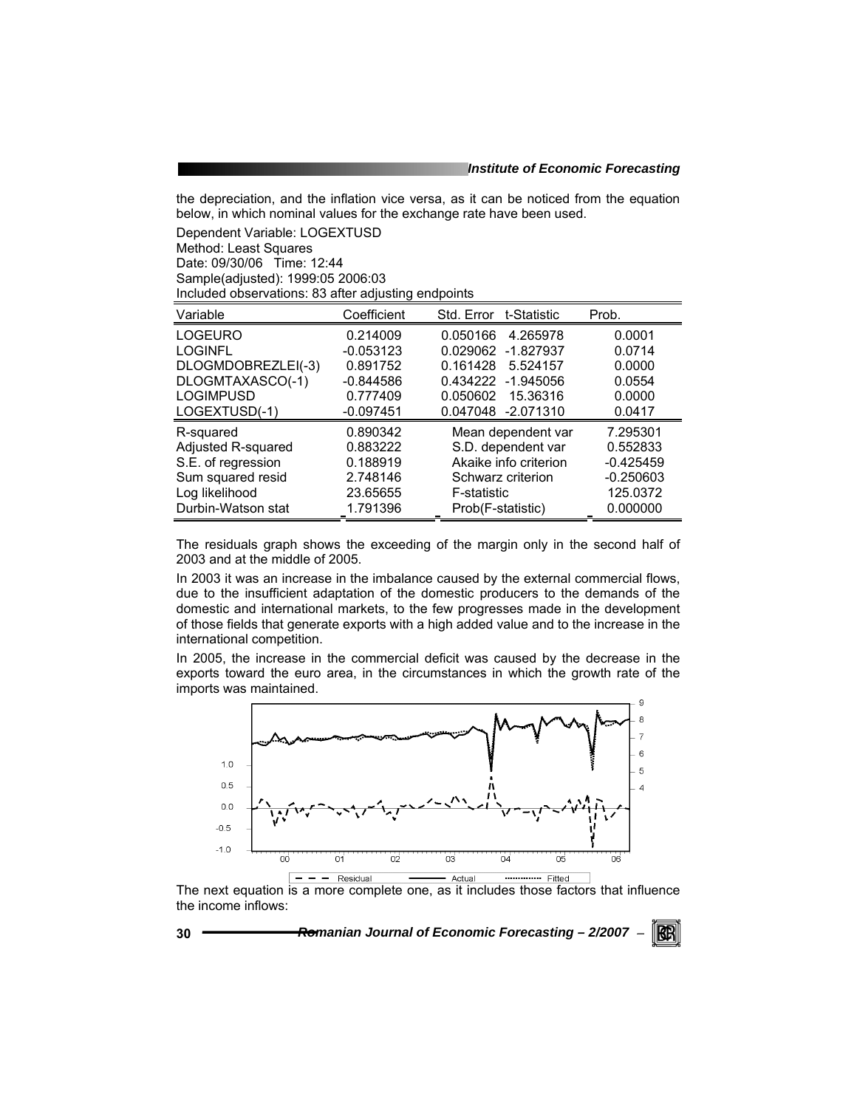the depreciation, and the inflation vice versa, as it can be noticed from the equation below, in which nominal values for the exchange rate have been used.

Dependent Variable: LOGEXTUSD Method: Least Squares Date: 09/30/06 Time: 12:44 Sample(adjusted): 1999:05 2006:03 Included observations: 83 after adjusting endpoints

| Variable           | Coefficient | Std. Error t-Statistic  | Prob.       |
|--------------------|-------------|-------------------------|-------------|
| <b>LOGEURO</b>     | 0.214009    | 0.050166<br>4.265978    | 0.0001      |
| <b>LOGINFL</b>     | $-0.053123$ | 0.029062<br>$-1.827937$ | 0.0714      |
| DLOGMDOBREZLEI(-3) | 0.891752    | 0.161428<br>5.524157    | 0.0000      |
| DLOGMTAXASCO(-1)   | $-0.844586$ | 0.434222 -1.945056      | 0.0554      |
| <b>LOGIMPUSD</b>   | 0.777409    | 0.050602<br>15.36316    | 0.0000      |
| LOGEXTUSD(-1)      | $-0.097451$ | 0.047048 -2.071310      | 0.0417      |
| R-squared          | 0.890342    | Mean dependent var      | 7.295301    |
| Adjusted R-squared | 0.883222    | S.D. dependent var      | 0.552833    |
| S.E. of regression | 0.188919    | Akaike info criterion   | $-0.425459$ |
| Sum squared resid  | 2.748146    | Schwarz criterion       | $-0.250603$ |
| Log likelihood     | 23.65655    | F-statistic             | 125.0372    |
| Durbin-Watson stat | 1.791396    | Prob(F-statistic)       | 0.000000    |

The residuals graph shows the exceeding of the margin only in the second half of 2003 and at the middle of 2005.

In 2003 it was an increase in the imbalance caused by the external commercial flows, due to the insufficient adaptation of the domestic producers to the demands of the domestic and international markets, to the few progresses made in the development of those fields that generate exports with a high added value and to the increase in the international competition.

In 2005, the increase in the commercial deficit was caused by the decrease in the exports toward the euro area, in the circumstances in which the growth rate of the imports was maintained.



The next equation is a more complete one, as it includes those factors that influence the income inflows:

**30** *Romanian Journal of Economic Forecasting – 2/2007* <sup>−</sup>

RGRI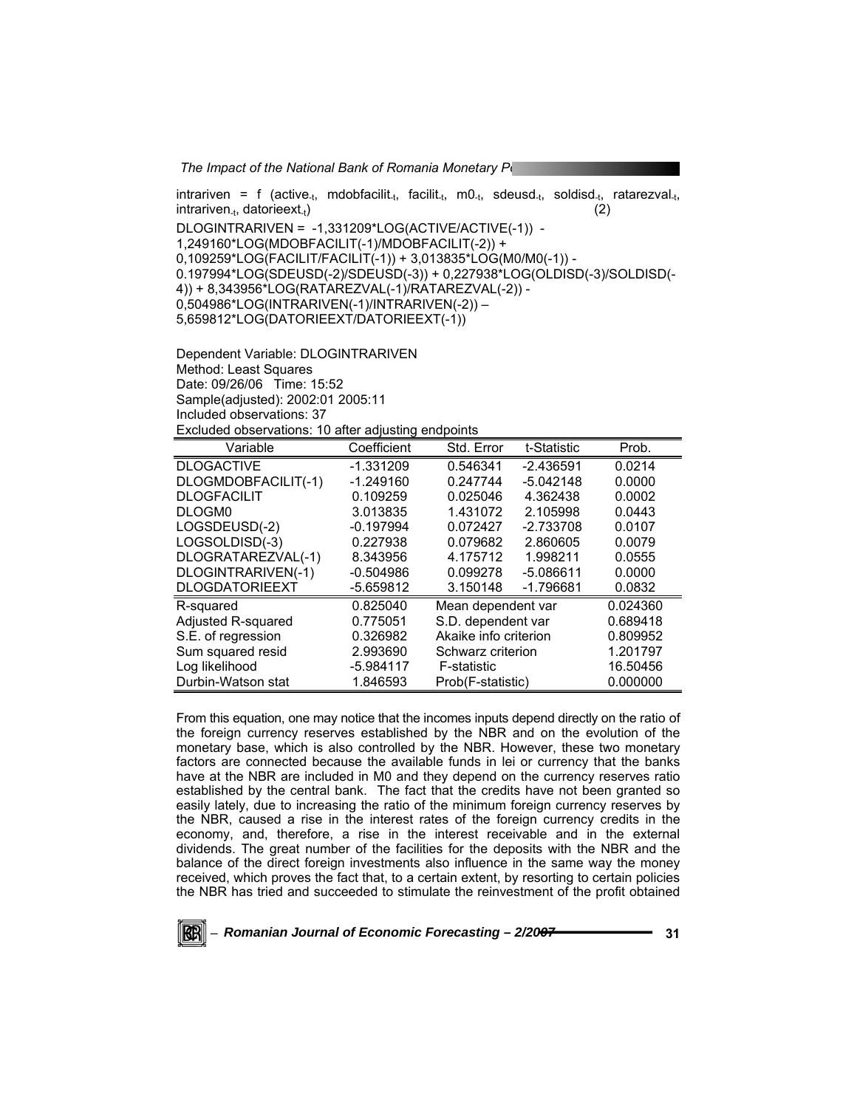*The Impact of the National Bank of Romania Monetary Policy* intrariven = f (active<sub>-t</sub>, mdobfacilit<sub>-t</sub>, facilit<sub>-t</sub>, m0<sub>-t</sub>, sdeusd<sub>-t</sub>, soldisd<sub>-t</sub>, ratarezval<sub>-t</sub>,  $\text{intraiven}_{\text{at}}$ , datorieext<sub>-t</sub>) (2) DLOGINTRARIVEN = -1,331209\*LOG(ACTIVE/ACTIVE(-1)) - 1,249160\*LOG(MDOBFACILIT(-1)/MDOBFACILIT(-2)) + 0,109259\*LOG(FACILIT/FACILIT(-1)) + 3,013835\*LOG(M0/M0(-1)) - 0.197994\*LOG(SDEUSD(-2)/SDEUSD(-3)) + 0,227938\*LOG(OLDISD(-3)/SOLDISD(- 4)) + 8,343956\*LOG(RATAREZVAL(-1)/RATAREZVAL(-2)) - 0,504986\*LOG(INTRARIVEN(-1)/INTRARIVEN(-2)) – 5,659812\*LOG(DATORIEEXT/DATORIEEXT(-1))

Dependent Variable: DLOGINTRARIVEN Method: Least Squares Date: 09/26/06 Time: 15:52 Sample(adjusted): 2002:01 2005:11 Included observations: 37 Excluded observations: 10 after adjusting endpoints

| Variable              | Coefficient | Std. Error            | t-Statistic | Prob.    |
|-----------------------|-------------|-----------------------|-------------|----------|
| <b>DLOGACTIVE</b>     | $-1.331209$ | 0.546341              | $-2.436591$ | 0.0214   |
| DLOGMDOBFACILIT(-1)   | $-1.249160$ | 0.247744              | $-5.042148$ | 0.0000   |
| <b>DLOGFACILIT</b>    | 0.109259    | 0.025046              | 4.362438    | 0.0002   |
| DLOGM <sub>0</sub>    | 3.013835    | 1.431072              | 2.105998    | 0.0443   |
| LOGSDEUSD(-2)         | $-0.197994$ | 0.072427              | $-2.733708$ | 0.0107   |
| LOGSOLDISD(-3)        | 0.227938    | 0.079682              | 2.860605    | 0.0079   |
| DLOGRATAREZVAL(-1)    | 8.343956    | 4.175712              | 1.998211    | 0.0555   |
| DLOGINTRARIVEN(-1)    | $-0.504986$ | 0.099278              | $-5.086611$ | 0.0000   |
| <b>DLOGDATORIEEXT</b> | $-5.659812$ | 3.150148              | $-1.796681$ | 0.0832   |
| R-squared             | 0.825040    | Mean dependent var    |             | 0.024360 |
| Adjusted R-squared    | 0.775051    | S.D. dependent var    |             | 0.689418 |
| S.E. of regression    | 0.326982    | Akaike info criterion |             | 0.809952 |
| Sum squared resid     | 2.993690    | Schwarz criterion     |             | 1.201797 |
| Log likelihood        | $-5.984117$ | F-statistic           |             | 16.50456 |
| Durbin-Watson stat    | 1.846593    | Prob(F-statistic)     |             | 0.000000 |

From this equation, one may notice that the incomes inputs depend directly on the ratio of the foreign currency reserves established by the NBR and on the evolution of the monetary base, which is also controlled by the NBR. However, these two monetary factors are connected because the available funds in lei or currency that the banks have at the NBR are included in M0 and they depend on the currency reserves ratio established by the central bank. The fact that the credits have not been granted so easily lately, due to increasing the ratio of the minimum foreign currency reserves by the NBR, caused a rise in the interest rates of the foreign currency credits in the economy, and, therefore, a rise in the interest receivable and in the external dividends. The great number of the facilities for the deposits with the NBR and the balance of the direct foreign investments also influence in the same way the money received, which proves the fact that, to a certain extent, by resorting to certain policies the NBR has tried and succeeded to stimulate the reinvestment of the profit obtained

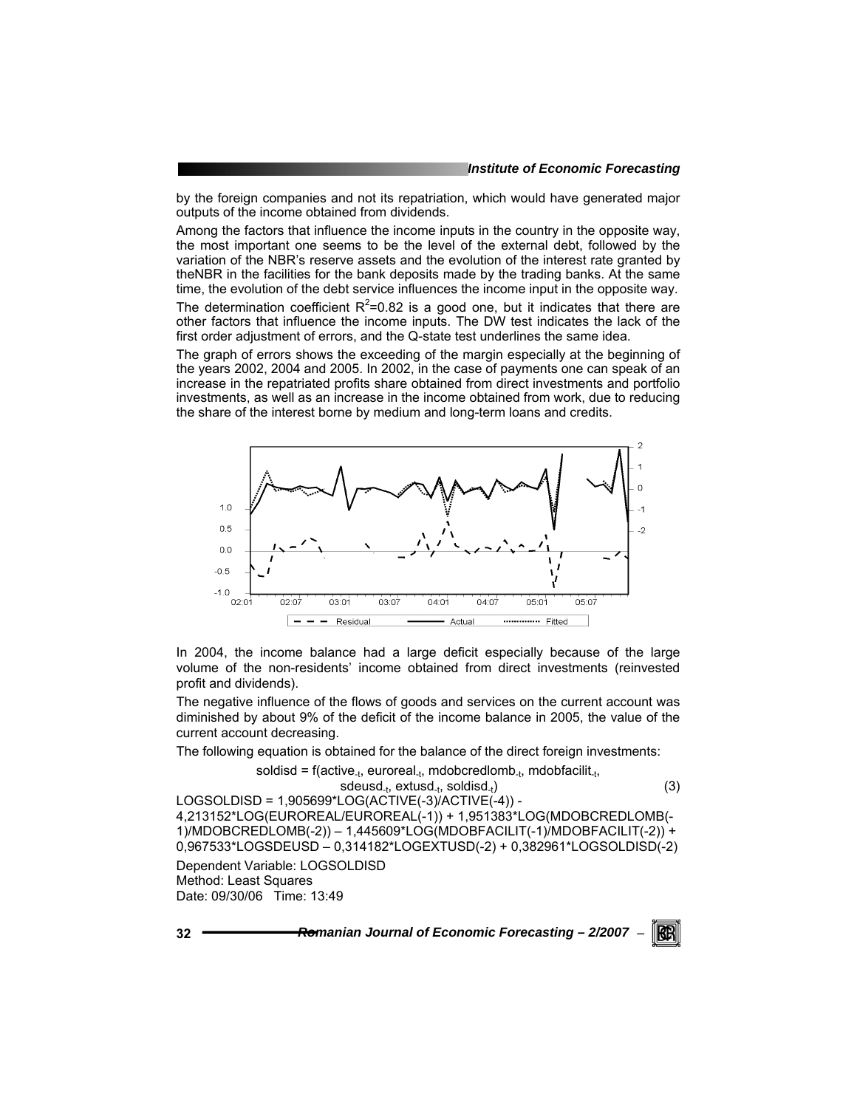by the foreign companies and not its repatriation, which would have generated major outputs of the income obtained from dividends.

Among the factors that influence the income inputs in the country in the opposite way, the most important one seems to be the level of the external debt, followed by the variation of the NBR's reserve assets and the evolution of the interest rate granted by theNBR in the facilities for the bank deposits made by the trading banks. At the same time, the evolution of the debt service influences the income input in the opposite way. The determination coefficient  $R^2$ =0.82 is a good one, but it indicates that there are other factors that influence the income inputs. The DW test indicates the lack of the first order adjustment of errors, and the Q-state test underlines the same idea.

The graph of errors shows the exceeding of the margin especially at the beginning of the years 2002, 2004 and 2005. In 2002, in the case of payments one can speak of an increase in the repatriated profits share obtained from direct investments and portfolio investments, as well as an increase in the income obtained from work, due to reducing the share of the interest borne by medium and long-term loans and credits.



In 2004, the income balance had a large deficit especially because of the large volume of the non-residents' income obtained from direct investments (reinvested profit and dividends).

The negative influence of the flows of goods and services on the current account was diminished by about 9% of the deficit of the income balance in 2005, the value of the current account decreasing.

The following equation is obtained for the balance of the direct foreign investments:

$$
solid is d = f(active_{-t}, euroreal_{-t},mdobcredlomb_{-t},mdobfacilit_{-t},
$$

$$
sdeusd_{-t}, \text{extusd}_{-t}, \text{ solidisd}_{-t})
$$
\n
$$
1 \text{ OGSO} \text{ DISD} = 1.905699*1 \text{ OG}(\text{ACTIVE}(-3)/\text{ACTIVE}(-4)) - 1.905698*1 \text{ OG}(\text{ACTIVE}(-3)/\text{ACTIVE}(-4)) - 1.905698*1 \text{ OG}(\text{ACTIVE}(-3)/\text{ACTIVE}(-4)) - 1.905698*1 \text{ OG}(\text{ACTIVE}(-3)/\text{ACTIVE}(-4)) - 1.905698*1 \text{ OG}(\text{ACTIVE}(-3)/\text{ACTIVE}(-4)) - 1.905698*1 \text{ OG}(\text{ACTIVE}(-3)/\text{ACTIVE}(-4)) - 1.905698*1 \text{ OG}(\text{ACTIVE}(-3)/\text{ACTIVE}(-4)) - 1.905698*1 \text{ OG}(\text{ACTIVE}(-3)/\text{ACTIVE}(-4)) - 1.905698*1 \text{ OG}(\text{ACTIVE}(-3)/\text{ACTIVE}(-4)) - 1.905698*1 \text{ OG}(\text{ACTIVE}(-3)/\text{ACTIVE}(-4)) - 1.905698*1 \text{ OG}(\text{ACTIVE}(-3)/\text{ACTIVE}(-4)) - 1.905698*1 \text{ OG}(\text{ACTIVE}(-3)/\text{ACTIVE}(-4)) - 1.90569*1 \text{ OG}(\text{ACTIVE}(-3)/\text{ACTIVE}(-4)) - 1.90569*1 \text{ OG}(\text{ACTIVE}(-3)/\text{ACTIVE}(-4)) - 1.90569*1 \text{ OG}(\text{ACTIVE}(-3)/\text{ACTIVE}(-4)) - 1.90569*1 \text{ OG}(\text{ACTIVE}(-3)/\text{ACTIVE}(-4)) - 1.90569*1 \text{ OG}(\text{ACTIVE}(-3)/\text{ACTIVE}(-4)) - 1.90569*1 \text{ OG}(\text{ACTIVE}(-3)/\text{ACTIVE}(-4)) - 1.90568*1 \text{EQ}(\text{CAL}) - 1.90568*1 \text{EQ}(\text{CAL}) - 1.90568*1 \text{EQ}(\text{CAL}) - 1.90568*1 \text{EQ}
$$

4,213152\*LOG(EUROREAL/EUROREAL(-1)) + 1,951383\*LOG(MDOBCREDLOMB(- 1)/MDOBCREDLOMB(-2)) – 1,445609\*LOG(MDOBFACILIT(-1)/MDOBFACILIT(-2)) + 0,967533\*LOGSDEUSD – 0,314182\*LOGEXTUSD(-2) + 0,382961\*LOGSOLDISD(-2)

Dependent Variable: LOGSOLDISD Method: Least Squares Date: 09/30/06 Time: 13:49

$$
32 -
$$

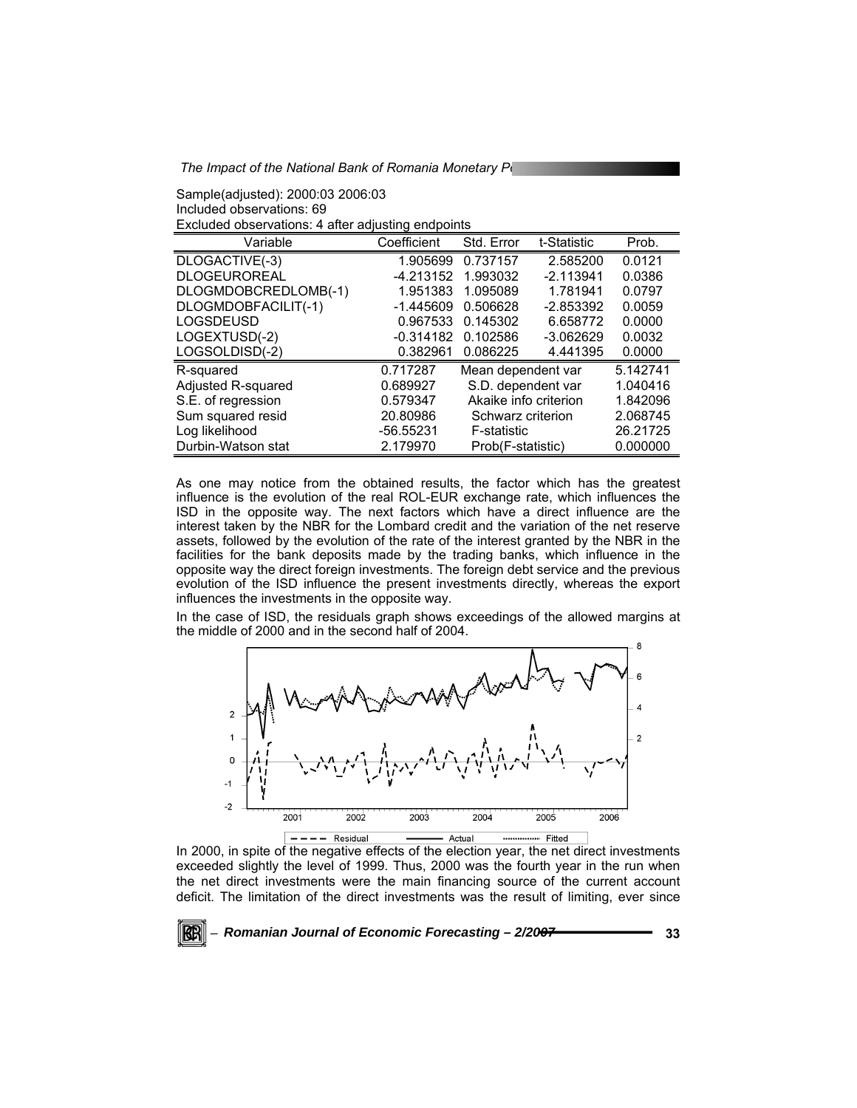*The Impact of the National Bank of Romania Monetary Policy* 

Sample(adjusted): 2000:03 2006:03 Included observations: 69 Excluded observations: 4 after adjusting endpoints

|                      | ີບ          |                       |             |          |
|----------------------|-------------|-----------------------|-------------|----------|
| Variable             | Coefficient | Std. Error            | t-Statistic | Prob.    |
| DLOGACTIVE(-3)       | 1.905699    | 0.737157              | 2.585200    | 0.0121   |
| <b>DLOGEUROREAL</b>  | $-4.213152$ | 1.993032              | $-2.113941$ | 0.0386   |
| DLOGMDOBCREDLOMB(-1) | 1.951383    | 1.095089              | 1.781941    | 0.0797   |
| DLOGMDOBFACILIT(-1)  | $-1.445609$ | 0.506628              | $-2.853392$ | 0.0059   |
| <b>LOGSDEUSD</b>     | 0.967533    | 0.145302              | 6.658772    | 0.0000   |
| LOGEXTUSD(-2)        | $-0.314182$ | 0.102586              | $-3.062629$ | 0.0032   |
| LOGSOLDISD(-2)       | 0.382961    | 0.086225              | 4.441395    | 0.0000   |
| R-squared            | 0.717287    | Mean dependent var    |             | 5.142741 |
| Adjusted R-squared   | 0.689927    | S.D. dependent var    |             | 1.040416 |
| S.E. of regression   | 0.579347    | Akaike info criterion |             | 1.842096 |
| Sum squared resid    | 20.80986    | Schwarz criterion     |             | 2.068745 |
| Log likelihood       | $-56.55231$ | F-statistic           |             | 26.21725 |
| Durbin-Watson stat   | 2.179970    | Prob(F-statistic)     |             | 0.000000 |

As one may notice from the obtained results, the factor which has the greatest influence is the evolution of the real ROL-EUR exchange rate, which influences the ISD in the opposite way. The next factors which have a direct influence are the interest taken by the NBR for the Lombard credit and the variation of the net reserve assets, followed by the evolution of the rate of the interest granted by the NBR in the facilities for the bank deposits made by the trading banks, which influence in the opposite way the direct foreign investments. The foreign debt service and the previous evolution of the ISD influence the present investments directly, whereas the export influences the investments in the opposite way.

In the case of ISD, the residuals graph shows exceedings of the allowed margins at the middle of 2000 and in the second half of 2004.



In 2000, in spite of the negative effects of the election year, the net direct investments exceeded slightly the level of 1999. Thus, 2000 was the fourth year in the run when the net direct investments were the main financing source of the current account deficit. The limitation of the direct investments was the result of limiting, ever since

<sup>−</sup> *Romanian Journal of Economic Forecasting – 2/2007* **33**

RCRI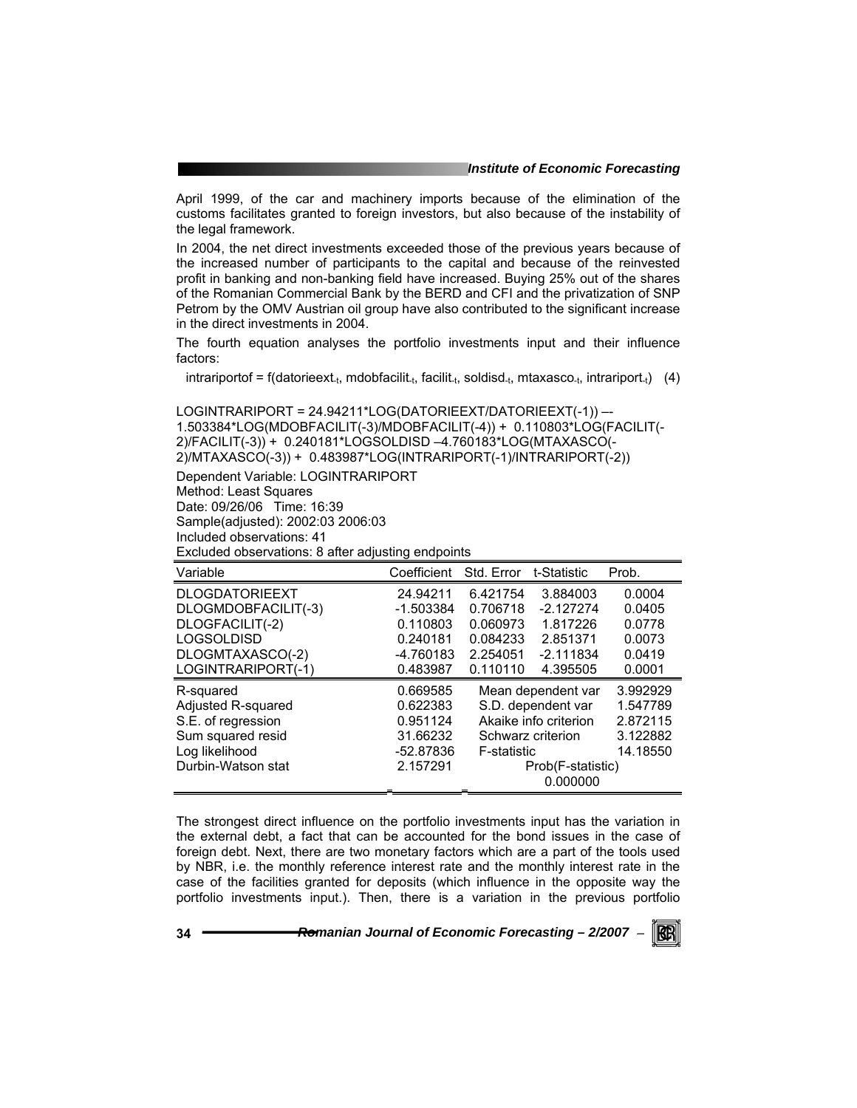April 1999, of the car and machinery imports because of the elimination of the customs facilitates granted to foreign investors, but also because of the instability of the legal framework.

In 2004, the net direct investments exceeded those of the previous years because of the increased number of participants to the capital and because of the reinvested profit in banking and non-banking field have increased. Buying 25% out of the shares of the Romanian Commercial Bank by the BERD and CFI and the privatization of SNP Petrom by the OMV Austrian oil group have also contributed to the significant increase in the direct investments in 2004.

The fourth equation analyses the portfolio investments input and their influence factors:

 $intrariportof = f(datarieext<sub>-t</sub>, mdobfacilit<sub>-t</sub>, facilit<sub>-t</sub>, solidisd<sub>-t</sub>, mtaxasco<sub>-t</sub>, intrariport<sub>-t</sub>)$  (4)

LOGINTRARIPORT = 24.94211\*LOG(DATORIEEXT/DATORIEEXT(-1)) –- 1.503384\*LOG(MDOBFACILIT(-3)/MDOBFACILIT(-4)) + 0.110803\*LOG(FACILIT(- 2)/FACILIT(-3)) + 0.240181\*LOGSOLDISD –4.760183\*LOG(MTAXASCO(- 2)/MTAXASCO(-3)) + 0.483987\*LOG(INTRARIPORT(-1)/INTRARIPORT(-2))

Dependent Variable: LOGINTRARIPORT Method: Least Squares Date: 09/26/06 Time: 16:39 Sample(adjusted): 2002:03 2006:03 Included observations: 41

Excluded observations: 8 after adjusting endpoints

| Variable              | Coefficient | Std. Error            | t-Statistic        | Prob.    |
|-----------------------|-------------|-----------------------|--------------------|----------|
| <b>DLOGDATORIEEXT</b> | 24.94211    | 6.421754              | 3.884003           | 0.0004   |
| DLOGMDOBFACILIT(-3)   | $-1.503384$ | 0.706718              | $-2.127274$        | 0.0405   |
| DLOGFACILIT(-2)       | 0.110803    | 0.060973              | 1.817226           | 0.0778   |
| <b>LOGSOLDISD</b>     | 0.240181    | 0.084233              | 2.851371           | 0.0073   |
| DLOGMTAXASCO(-2)      | -4.760183   | 2.254051              | $-2.111834$        | 0.0419   |
| LOGINTRARIPORT(-1)    | 0.483987    | 0.110110              | 4.395505           | 0.0001   |
| R-squared             | 0.669585    |                       | Mean dependent var | 3.992929 |
| Adjusted R-squared    | 0.622383    |                       | S.D. dependent var | 1.547789 |
| S.E. of regression    | 0.951124    | Akaike info criterion |                    | 2.872115 |
| Sum squared resid     | 31.66232    | Schwarz criterion     |                    | 3.122882 |
| Log likelihood        | -52.87836   | <b>F-statistic</b>    |                    | 14.18550 |
| Durbin-Watson stat    | 2.157291    | Prob(F-statistic)     |                    |          |
|                       |             |                       | 0.000000           |          |

The strongest direct influence on the portfolio investments input has the variation in the external debt, a fact that can be accounted for the bond issues in the case of foreign debt. Next, there are two monetary factors which are a part of the tools used by NBR, i.e. the monthly reference interest rate and the monthly interest rate in the case of the facilities granted for deposits (which influence in the opposite way the portfolio investments input.). Then, there is a variation in the previous portfolio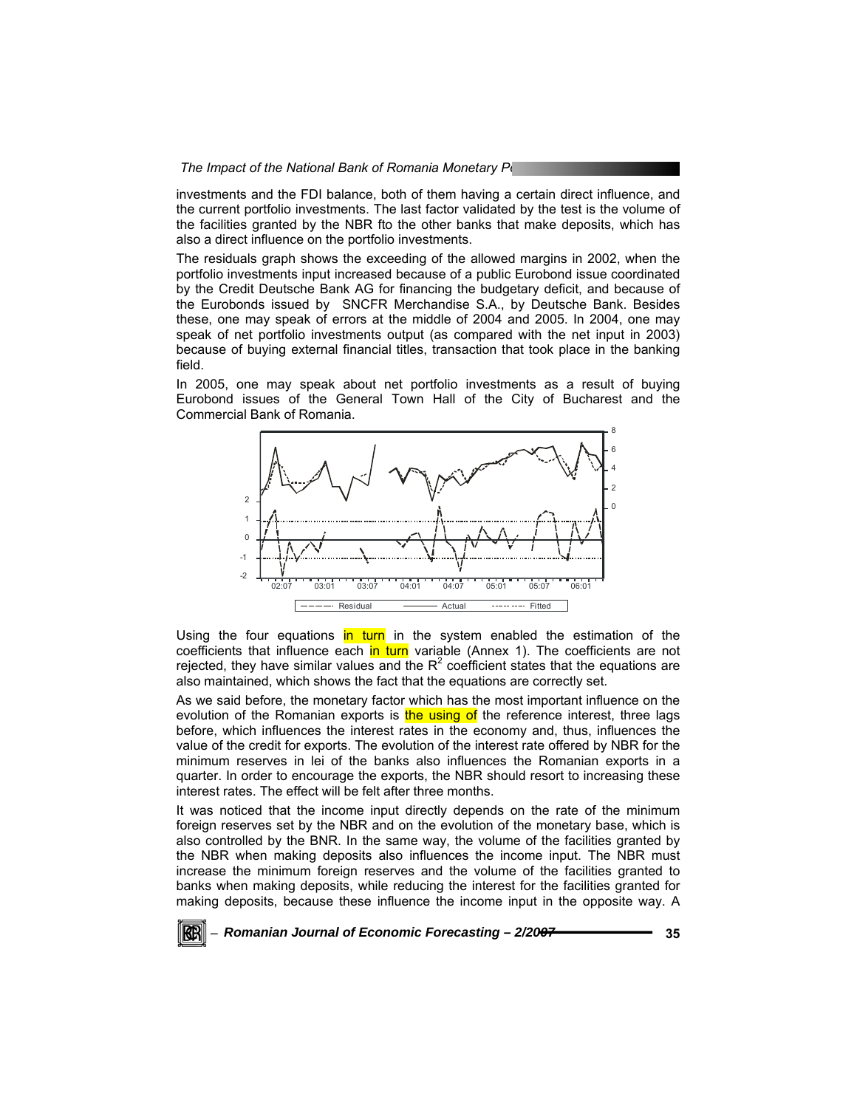investments and the FDI balance, both of them having a certain direct influence, and the current portfolio investments. The last factor validated by the test is the volume of the facilities granted by the NBR fto the other banks that make deposits, which has also a direct influence on the portfolio investments.

The residuals graph shows the exceeding of the allowed margins in 2002, when the portfolio investments input increased because of a public Eurobond issue coordinated by the Credit Deutsche Bank AG for financing the budgetary deficit, and because of the Eurobonds issued by SNCFR Merchandise S.A., by Deutsche Bank. Besides these, one may speak of errors at the middle of 2004 and 2005. In 2004, one may speak of net portfolio investments output (as compared with the net input in 2003) because of buying external financial titles, transaction that took place in the banking field.

In 2005, one may speak about net portfolio investments as a result of buying Eurobond issues of the General Town Hall of the City of Bucharest and the Commercial Bank of Romania.



Using the four equations in turn in the system enabled the estimation of the coefficients that influence each in turn variable (Annex 1). The coefficients are not rejected, they have similar values and the  $R^2$  coefficient states that the equations are also maintained, which shows the fact that the equations are correctly set.

As we said before, the monetary factor which has the most important influence on the evolution of the Romanian exports is the using of the reference interest, three lags before, which influences the interest rates in the economy and, thus, influences the value of the credit for exports. The evolution of the interest rate offered by NBR for the minimum reserves in lei of the banks also influences the Romanian exports in a quarter. In order to encourage the exports, the NBR should resort to increasing these interest rates. The effect will be felt after three months.

It was noticed that the income input directly depends on the rate of the minimum foreign reserves set by the NBR and on the evolution of the monetary base, which is also controlled by the BNR. In the same way, the volume of the facilities granted by the NBR when making deposits also influences the income input. The NBR must increase the minimum foreign reserves and the volume of the facilities granted to banks when making deposits, while reducing the interest for the facilities granted for making deposits, because these influence the income input in the opposite way. A

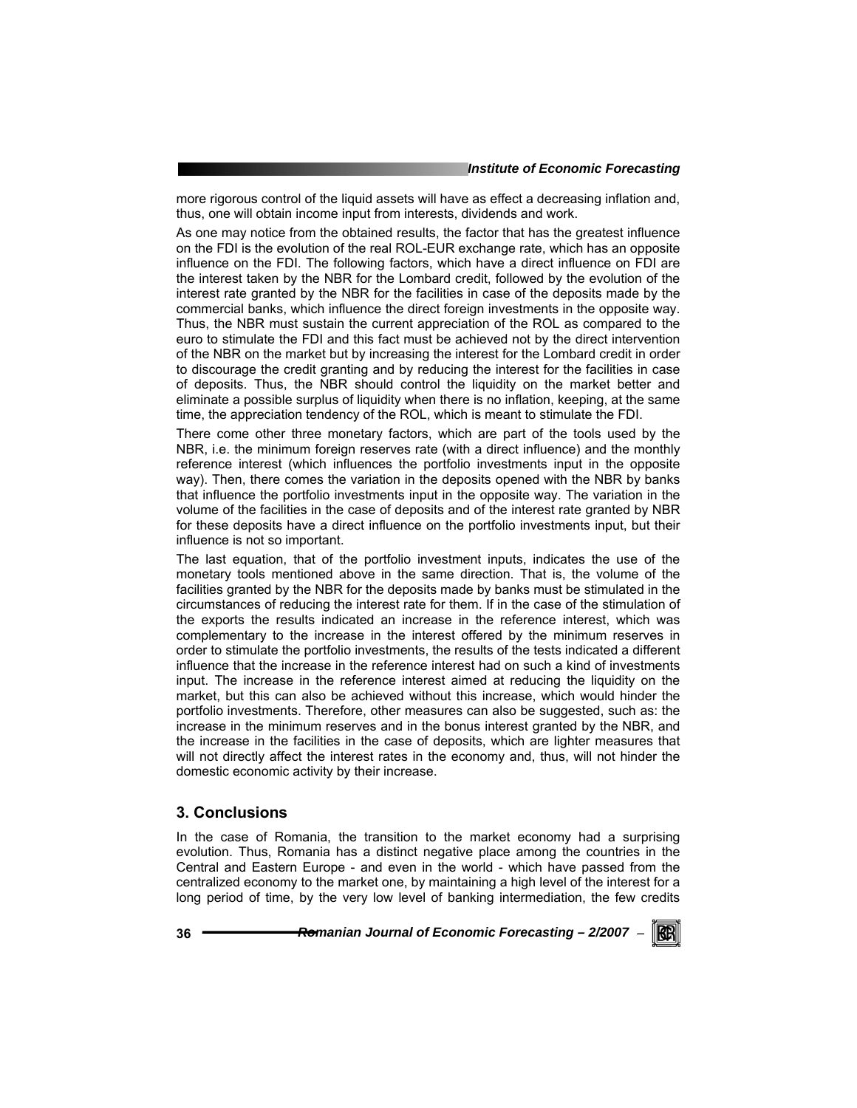more rigorous control of the liquid assets will have as effect a decreasing inflation and, thus, one will obtain income input from interests, dividends and work.

As one may notice from the obtained results, the factor that has the greatest influence on the FDI is the evolution of the real ROL-EUR exchange rate, which has an opposite influence on the FDI. The following factors, which have a direct influence on FDI are the interest taken by the NBR for the Lombard credit, followed by the evolution of the interest rate granted by the NBR for the facilities in case of the deposits made by the commercial banks, which influence the direct foreign investments in the opposite way. Thus, the NBR must sustain the current appreciation of the ROL as compared to the euro to stimulate the FDI and this fact must be achieved not by the direct intervention of the NBR on the market but by increasing the interest for the Lombard credit in order to discourage the credit granting and by reducing the interest for the facilities in case of deposits. Thus, the NBR should control the liquidity on the market better and eliminate a possible surplus of liquidity when there is no inflation, keeping, at the same time, the appreciation tendency of the ROL, which is meant to stimulate the FDI.

There come other three monetary factors, which are part of the tools used by the NBR, i.e. the minimum foreign reserves rate (with a direct influence) and the monthly reference interest (which influences the portfolio investments input in the opposite way). Then, there comes the variation in the deposits opened with the NBR by banks that influence the portfolio investments input in the opposite way. The variation in the volume of the facilities in the case of deposits and of the interest rate granted by NBR for these deposits have a direct influence on the portfolio investments input, but their influence is not so important.

The last equation, that of the portfolio investment inputs, indicates the use of the monetary tools mentioned above in the same direction. That is, the volume of the facilities granted by the NBR for the deposits made by banks must be stimulated in the circumstances of reducing the interest rate for them. If in the case of the stimulation of the exports the results indicated an increase in the reference interest, which was complementary to the increase in the interest offered by the minimum reserves in order to stimulate the portfolio investments, the results of the tests indicated a different influence that the increase in the reference interest had on such a kind of investments input. The increase in the reference interest aimed at reducing the liquidity on the market, but this can also be achieved without this increase, which would hinder the portfolio investments. Therefore, other measures can also be suggested, such as: the increase in the minimum reserves and in the bonus interest granted by the NBR, and the increase in the facilities in the case of deposits, which are lighter measures that will not directly affect the interest rates in the economy and, thus, will not hinder the domestic economic activity by their increase.

### **3. Conclusions**

In the case of Romania, the transition to the market economy had a surprising evolution. Thus, Romania has a distinct negative place among the countries in the Central and Eastern Europe - and even in the world - which have passed from the centralized economy to the market one, by maintaining a high level of the interest for a long period of time, by the very low level of banking intermediation, the few credits

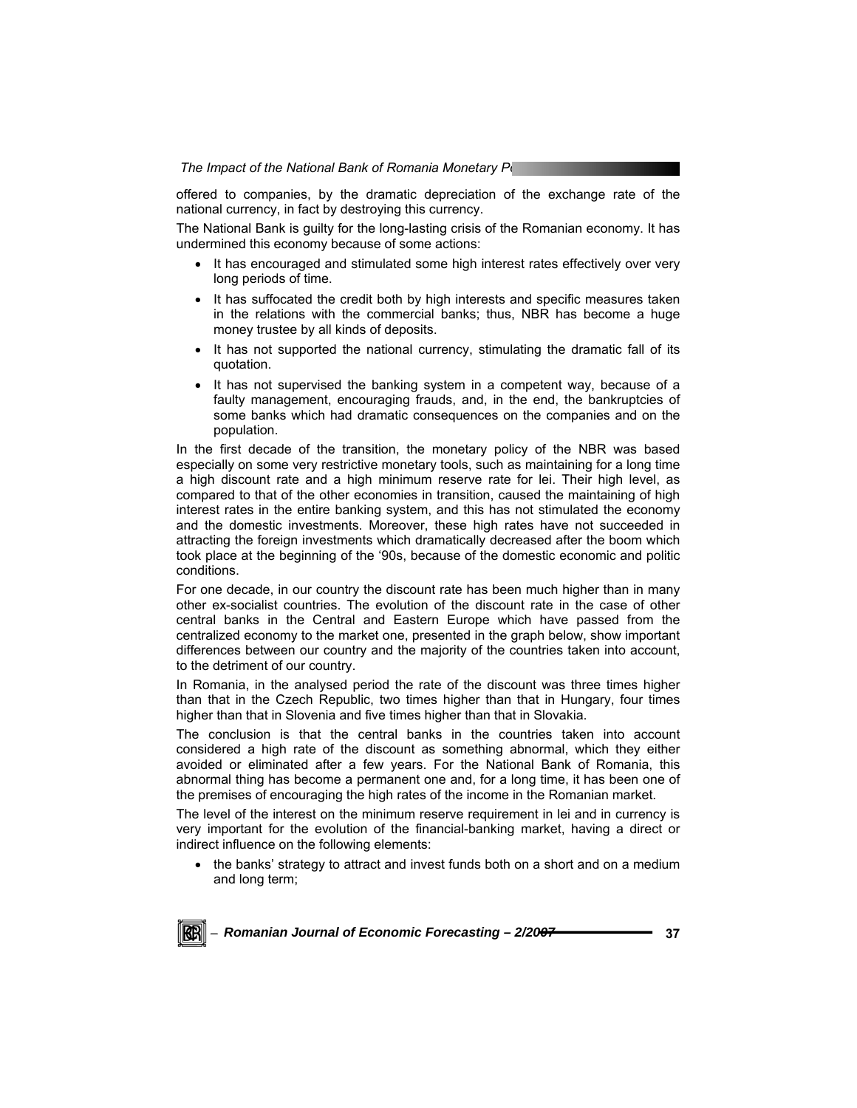offered to companies, by the dramatic depreciation of the exchange rate of the national currency, in fact by destroying this currency.

The National Bank is guilty for the long-lasting crisis of the Romanian economy. It has undermined this economy because of some actions:

- It has encouraged and stimulated some high interest rates effectively over very long periods of time.
- It has suffocated the credit both by high interests and specific measures taken in the relations with the commercial banks; thus, NBR has become a huge money trustee by all kinds of deposits.
- It has not supported the national currency, stimulating the dramatic fall of its quotation.
- It has not supervised the banking system in a competent way, because of a faulty management, encouraging frauds, and, in the end, the bankruptcies of some banks which had dramatic consequences on the companies and on the population.

In the first decade of the transition, the monetary policy of the NBR was based especially on some very restrictive monetary tools, such as maintaining for a long time a high discount rate and a high minimum reserve rate for lei. Their high level, as compared to that of the other economies in transition, caused the maintaining of high interest rates in the entire banking system, and this has not stimulated the economy and the domestic investments. Moreover, these high rates have not succeeded in attracting the foreign investments which dramatically decreased after the boom which took place at the beginning of the '90s, because of the domestic economic and politic conditions.

For one decade, in our country the discount rate has been much higher than in many other ex-socialist countries. The evolution of the discount rate in the case of other central banks in the Central and Eastern Europe which have passed from the centralized economy to the market one, presented in the graph below, show important differences between our country and the majority of the countries taken into account, to the detriment of our country.

In Romania, in the analysed period the rate of the discount was three times higher than that in the Czech Republic, two times higher than that in Hungary, four times higher than that in Slovenia and five times higher than that in Slovakia.

The conclusion is that the central banks in the countries taken into account considered a high rate of the discount as something abnormal, which they either avoided or eliminated after a few years. For the National Bank of Romania, this abnormal thing has become a permanent one and, for a long time, it has been one of the premises of encouraging the high rates of the income in the Romanian market.

The level of the interest on the minimum reserve requirement in lei and in currency is very important for the evolution of the financial-banking market, having a direct or indirect influence on the following elements:

• the banks' strategy to attract and invest funds both on a short and on a medium and long term;

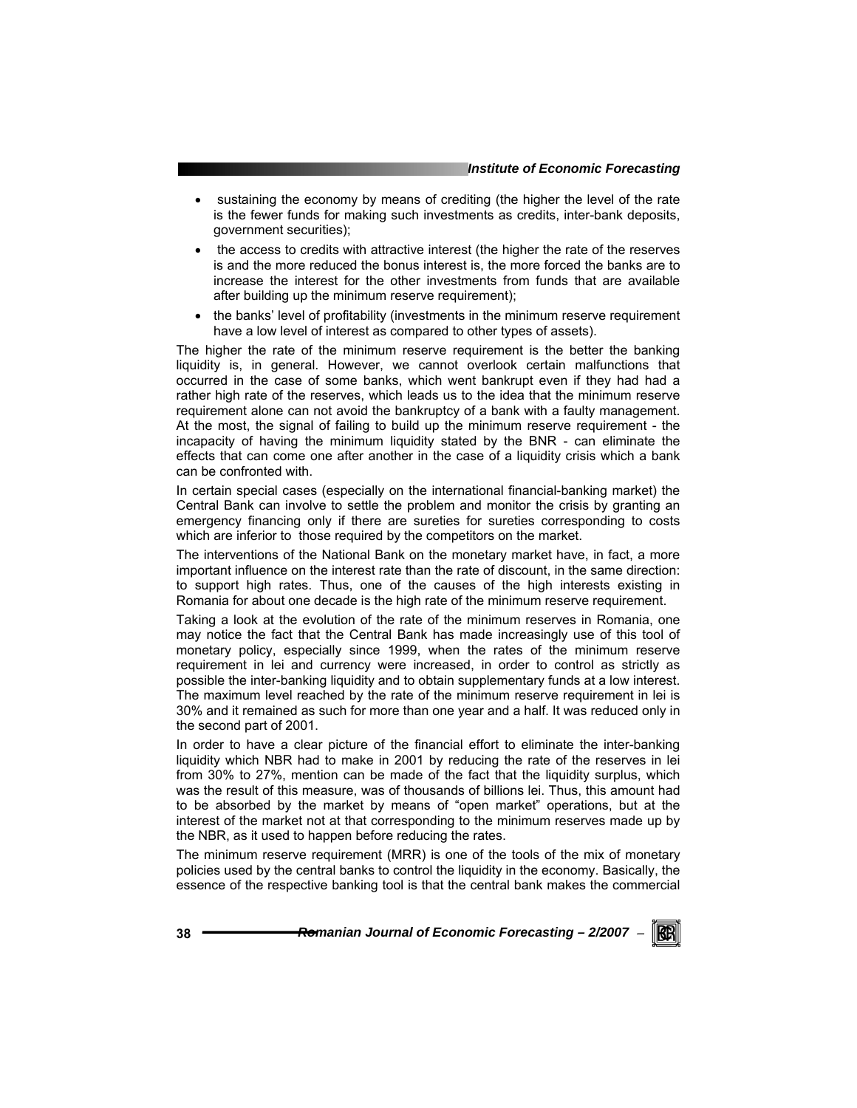- sustaining the economy by means of crediting (the higher the level of the rate is the fewer funds for making such investments as credits, inter-bank deposits, government securities);
- the access to credits with attractive interest (the higher the rate of the reserves is and the more reduced the bonus interest is, the more forced the banks are to increase the interest for the other investments from funds that are available after building up the minimum reserve requirement);
- the banks' level of profitability (investments in the minimum reserve requirement have a low level of interest as compared to other types of assets).

The higher the rate of the minimum reserve requirement is the better the banking liquidity is, in general. However, we cannot overlook certain malfunctions that occurred in the case of some banks, which went bankrupt even if they had had a rather high rate of the reserves, which leads us to the idea that the minimum reserve requirement alone can not avoid the bankruptcy of a bank with a faulty management. At the most, the signal of failing to build up the minimum reserve requirement - the incapacity of having the minimum liquidity stated by the BNR - can eliminate the effects that can come one after another in the case of a liquidity crisis which a bank can be confronted with.

In certain special cases (especially on the international financial-banking market) the Central Bank can involve to settle the problem and monitor the crisis by granting an emergency financing only if there are sureties for sureties corresponding to costs which are inferior to those required by the competitors on the market.

The interventions of the National Bank on the monetary market have, in fact, a more important influence on the interest rate than the rate of discount, in the same direction: to support high rates. Thus, one of the causes of the high interests existing in Romania for about one decade is the high rate of the minimum reserve requirement.

Taking a look at the evolution of the rate of the minimum reserves in Romania, one may notice the fact that the Central Bank has made increasingly use of this tool of monetary policy, especially since 1999, when the rates of the minimum reserve requirement in lei and currency were increased, in order to control as strictly as possible the inter-banking liquidity and to obtain supplementary funds at a low interest. The maximum level reached by the rate of the minimum reserve requirement in lei is 30% and it remained as such for more than one year and a half. It was reduced only in the second part of 2001.

In order to have a clear picture of the financial effort to eliminate the inter-banking liquidity which NBR had to make in 2001 by reducing the rate of the reserves in lei from 30% to 27%, mention can be made of the fact that the liquidity surplus, which was the result of this measure, was of thousands of billions lei. Thus, this amount had to be absorbed by the market by means of "open market" operations, but at the interest of the market not at that corresponding to the minimum reserves made up by the NBR, as it used to happen before reducing the rates.

The minimum reserve requirement (MRR) is one of the tools of the mix of monetary policies used by the central banks to control the liquidity in the economy. Basically, the essence of the respective banking tool is that the central bank makes the commercial

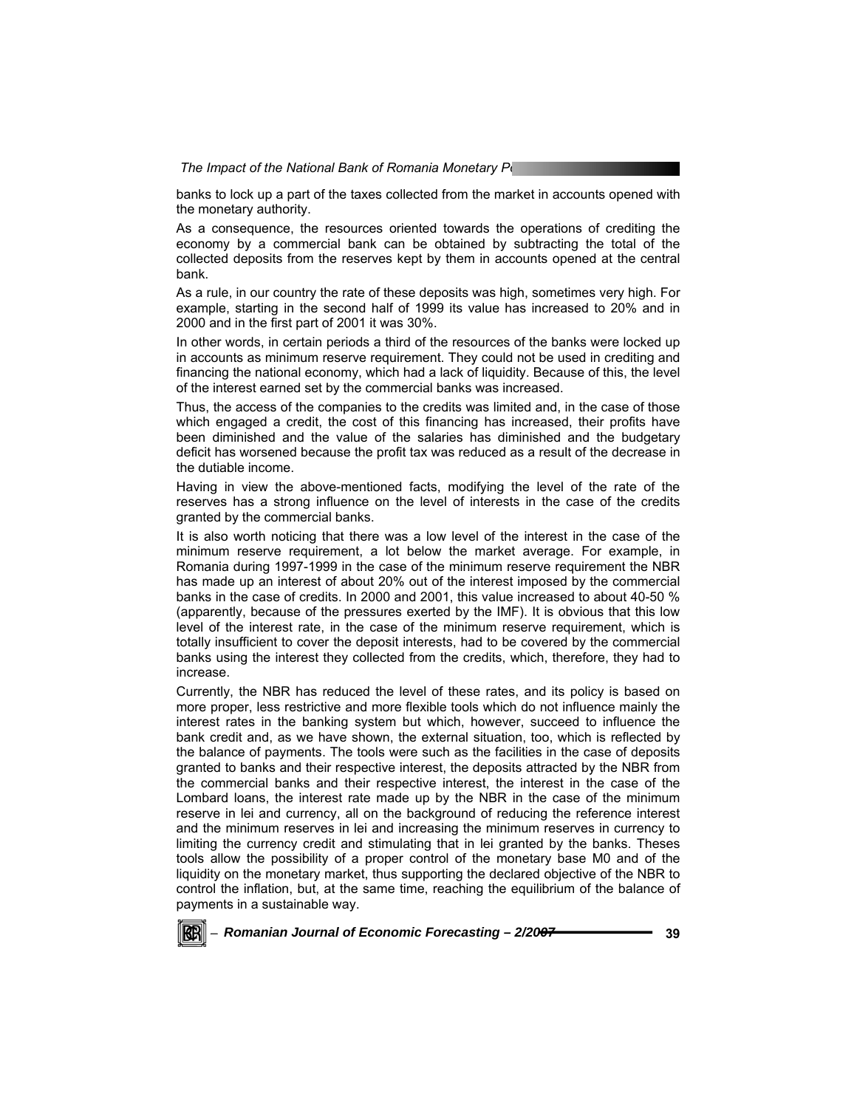banks to lock up a part of the taxes collected from the market in accounts opened with the monetary authority.

As a consequence, the resources oriented towards the operations of crediting the economy by a commercial bank can be obtained by subtracting the total of the collected deposits from the reserves kept by them in accounts opened at the central bank.

As a rule, in our country the rate of these deposits was high, sometimes very high. For example, starting in the second half of 1999 its value has increased to 20% and in 2000 and in the first part of 2001 it was 30%.

In other words, in certain periods a third of the resources of the banks were locked up in accounts as minimum reserve requirement. They could not be used in crediting and financing the national economy, which had a lack of liquidity. Because of this, the level of the interest earned set by the commercial banks was increased.

Thus, the access of the companies to the credits was limited and, in the case of those which engaged a credit, the cost of this financing has increased, their profits have been diminished and the value of the salaries has diminished and the budgetary deficit has worsened because the profit tax was reduced as a result of the decrease in the dutiable income.

Having in view the above-mentioned facts, modifying the level of the rate of the reserves has a strong influence on the level of interests in the case of the credits granted by the commercial banks.

It is also worth noticing that there was a low level of the interest in the case of the minimum reserve requirement, a lot below the market average. For example, in Romania during 1997-1999 in the case of the minimum reserve requirement the NBR has made up an interest of about 20% out of the interest imposed by the commercial banks in the case of credits. In 2000 and 2001, this value increased to about 40-50 % (apparently, because of the pressures exerted by the IMF). It is obvious that this low level of the interest rate, in the case of the minimum reserve requirement, which is totally insufficient to cover the deposit interests, had to be covered by the commercial banks using the interest they collected from the credits, which, therefore, they had to increase.

Currently, the NBR has reduced the level of these rates, and its policy is based on more proper, less restrictive and more flexible tools which do not influence mainly the interest rates in the banking system but which, however, succeed to influence the bank credit and, as we have shown, the external situation, too, which is reflected by the balance of payments. The tools were such as the facilities in the case of deposits granted to banks and their respective interest, the deposits attracted by the NBR from the commercial banks and their respective interest, the interest in the case of the Lombard loans, the interest rate made up by the NBR in the case of the minimum reserve in lei and currency, all on the background of reducing the reference interest and the minimum reserves in lei and increasing the minimum reserves in currency to limiting the currency credit and stimulating that in lei granted by the banks. Theses tools allow the possibility of a proper control of the monetary base M0 and of the liquidity on the monetary market, thus supporting the declared objective of the NBR to control the inflation, but, at the same time, reaching the equilibrium of the balance of payments in a sustainable way.

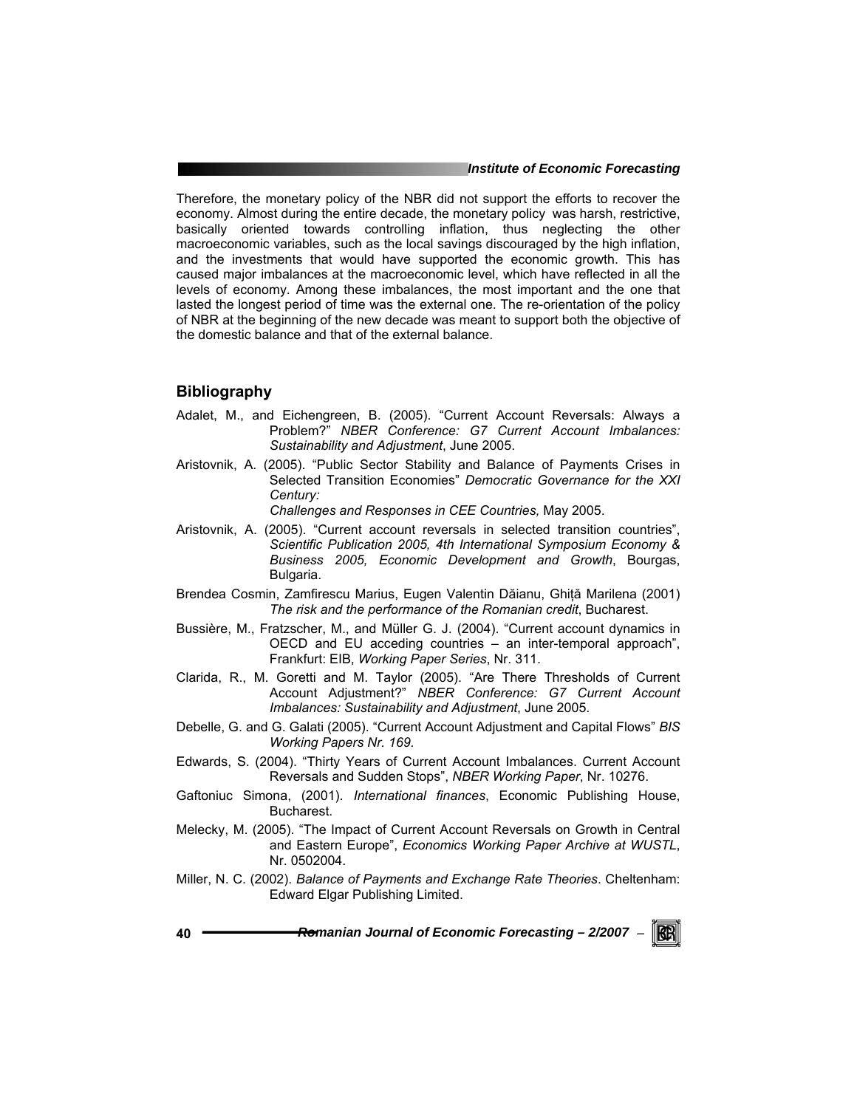Therefore, the monetary policy of the NBR did not support the efforts to recover the economy. Almost during the entire decade, the monetary policy was harsh, restrictive, basically oriented towards controlling inflation, thus neglecting the other macroeconomic variables, such as the local savings discouraged by the high inflation, and the investments that would have supported the economic growth. This has caused major imbalances at the macroeconomic level, which have reflected in all the levels of economy. Among these imbalances, the most important and the one that lasted the longest period of time was the external one. The re-orientation of the policy of NBR at the beginning of the new decade was meant to support both the objective of the domestic balance and that of the external balance.

## **Bibliography**

- Adalet, M., and Eichengreen, B. (2005). "Current Account Reversals: Always a Problem?" *NBER Conference: G7 Current Account Imbalances: Sustainability and Adjustment*, June 2005.
- Aristovnik, A. (2005). "Public Sector Stability and Balance of Payments Crises in Selected Transition Economies" *Democratic Governance for the XXI Century:*

*Challenges and Responses in CEE Countries,* May 2005.

- Aristovnik, A. (2005). "Current account reversals in selected transition countries", *Scientific Publication 2005, 4th International Symposium Economy & Business 2005, Economic Development and Growth*, Bourgas, Bulgaria.
- Brendea Cosmin, Zamfirescu Marius, Eugen Valentin Dăianu, Ghiţă Marilena (2001) *The risk and the performance of the Romanian credit*, Bucharest.
- Bussière, M., Fratzscher, M., and Müller G. J. (2004). "Current account dynamics in OECD and EU acceding countries – an inter-temporal approach", Frankfurt: EIB, *Working Paper Series*, Nr. 311.
- Clarida, R., M. Goretti and M. Taylor (2005). "Are There Thresholds of Current Account Adjustment?" *NBER Conference: G7 Current Account Imbalances: Sustainability and Adjustment*, June 2005.
- Debelle, G. and G. Galati (2005). "Current Account Adjustment and Capital Flows" *BIS Working Papers Nr. 169.*
- Edwards, S. (2004). "Thirty Years of Current Account Imbalances. Current Account Reversals and Sudden Stops", *NBER Working Paper*, Nr. 10276.
- Gaftoniuc Simona, (2001). *International finances*, Economic Publishing House, Bucharest.
- Melecky, M. (2005). "The Impact of Current Account Reversals on Growth in Central and Eastern Europe", *Economics Working Paper Archive at WUSTL*, Nr. 0502004.
- Miller, N. C. (2002). *Balance of Payments and Exchange Rate Theories*. Cheltenham: Edward Elgar Publishing Limited.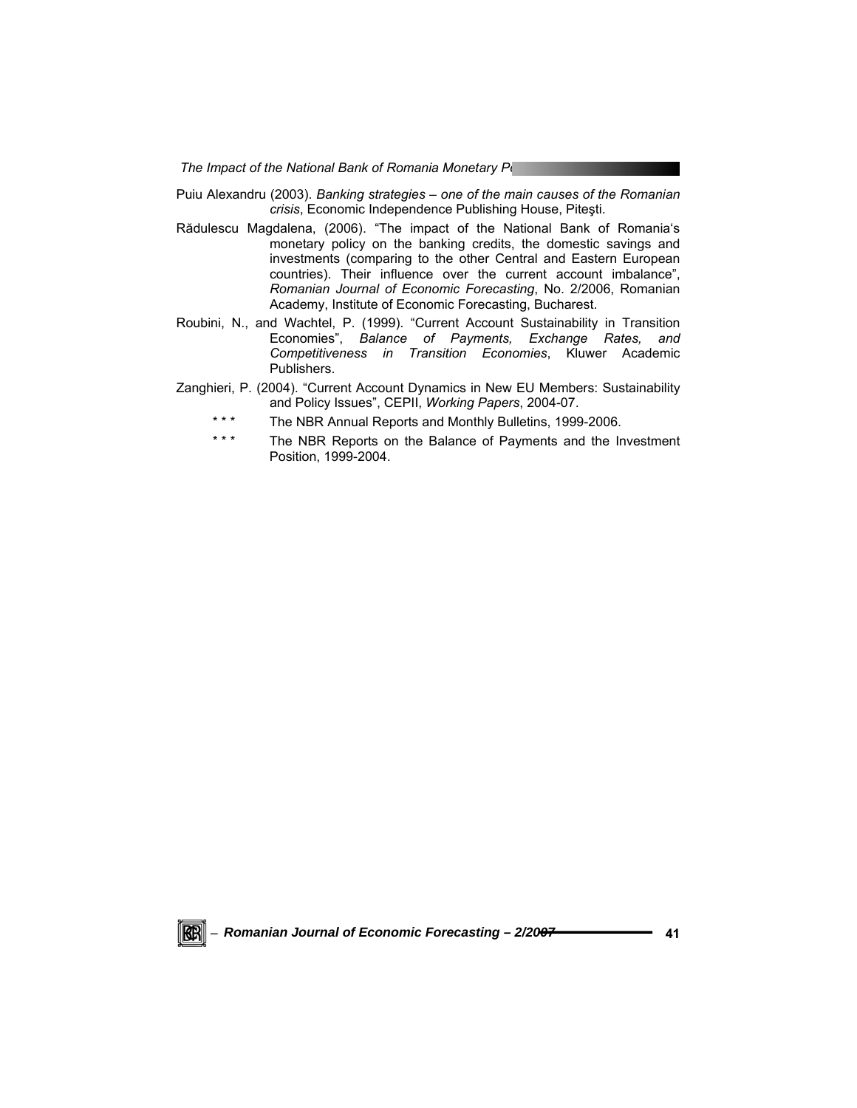Puiu Alexandru (2003). *Banking strategies – one of the main causes of the Romanian crisis*, Economic Independence Publishing House, Piteşti.

- Rădulescu Magdalena, (2006). "The impact of the National Bank of Romania's monetary policy on the banking credits, the domestic savings and investments (comparing to the other Central and Eastern European countries). Their influence over the current account imbalance", *Romanian Journal of Economic Forecasting*, No. 2/2006, Romanian Academy, Institute of Economic Forecasting, Bucharest.
- Roubini, N., and Wachtel, P. (1999). "Current Account Sustainability in Transition Economies", *Balance of Payments, Exchange Rates, and Competitiveness in Transition Economies*, Kluwer Academic Publishers.
- Zanghieri, P. (2004). "Current Account Dynamics in New EU Members: Sustainability and Policy Issues", CEPII, *Working Papers*, 2004-07.
	- \*\*\* The NBR Annual Reports and Monthly Bulletins, 1999-2006.
	- \*\*\* The NBR Reports on the Balance of Payments and the Investment Position, 1999-2004.

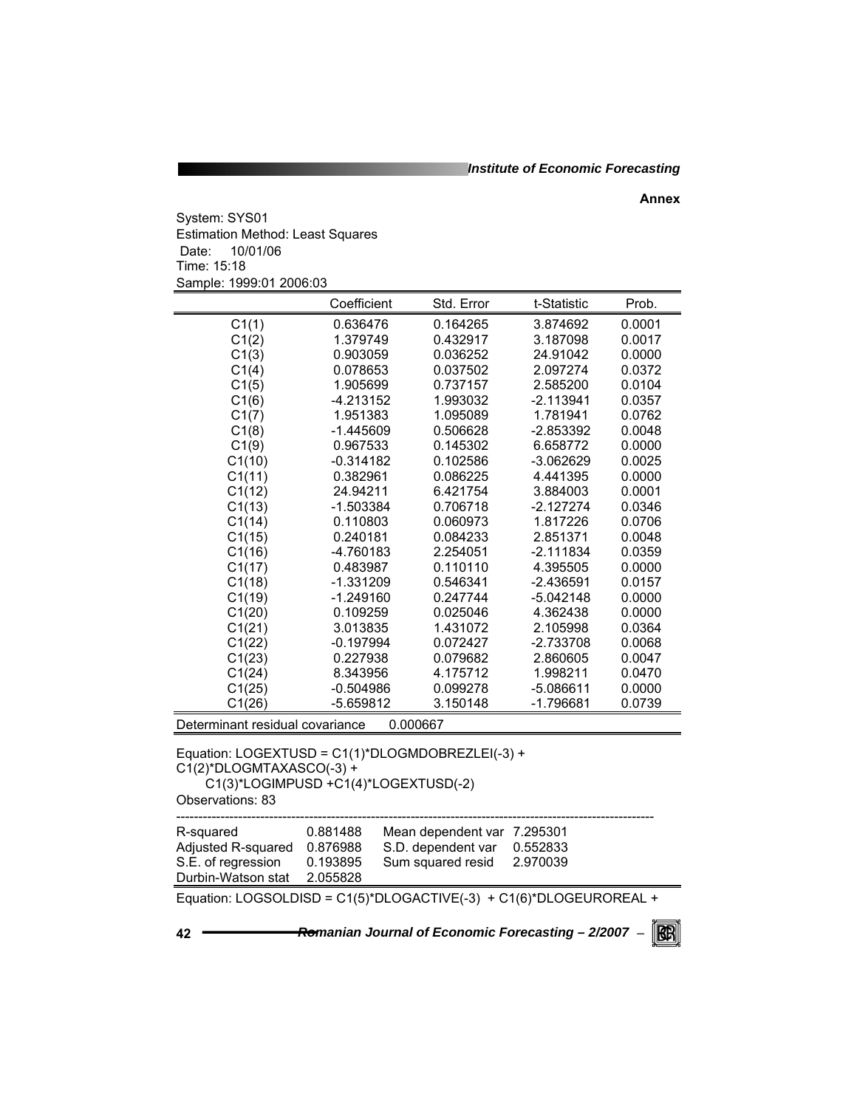*Institute of Economic Forecasting*

**Annex** 

System: SYS01 Estimation Method: Least Squares Date: 10/01/06 Time: 15:18 Sample: 1999:01 2006:03

|                                                                    | Coefficient                          | Std. Error                  | t-Statistic | Prob.  |  |
|--------------------------------------------------------------------|--------------------------------------|-----------------------------|-------------|--------|--|
| C1(1)                                                              | 0.636476                             | 0.164265                    | 3.874692    | 0.0001 |  |
| C1(2)                                                              | 1.379749                             | 0.432917                    | 3.187098    | 0.0017 |  |
| C1(3)                                                              | 0.903059                             | 0.036252                    | 24.91042    | 0.0000 |  |
| C1(4)                                                              | 0.078653                             | 0.037502                    | 2.097274    | 0.0372 |  |
| C1(5)                                                              | 1.905699                             | 0.737157                    | 2.585200    | 0.0104 |  |
| C1(6)                                                              | -4.213152                            | 1.993032                    | $-2.113941$ | 0.0357 |  |
| C1(7)                                                              | 1.951383                             | 1.095089                    | 1.781941    | 0.0762 |  |
| C1(8)                                                              | $-1.445609$                          | 0.506628                    | -2.853392   | 0.0048 |  |
| C1(9)                                                              | 0.967533                             | 0.145302                    | 6.658772    | 0.0000 |  |
| C1(10)                                                             | $-0.314182$                          | 0.102586                    | $-3.062629$ | 0.0025 |  |
| C1(11)                                                             | 0.382961                             | 0.086225                    | 4.441395    | 0.0000 |  |
| C1(12)                                                             | 24.94211                             | 6.421754                    | 3.884003    | 0.0001 |  |
| C1(13)                                                             | -1.503384                            | 0.706718                    | -2.127274   | 0.0346 |  |
| C1(14)                                                             | 0.110803                             | 0.060973                    | 1.817226    | 0.0706 |  |
| C1(15)                                                             | 0.240181                             | 0.084233                    | 2.851371    | 0.0048 |  |
| C1(16)                                                             | -4.760183                            | 2.254051                    | $-2.111834$ | 0.0359 |  |
| C1(17)                                                             | 0.483987                             | 0.110110                    | 4.395505    | 0.0000 |  |
| C1(18)                                                             | $-1.331209$                          | 0.546341                    | $-2.436591$ | 0.0157 |  |
| C1(19)                                                             | $-1.249160$                          | 0.247744                    | $-5.042148$ | 0.0000 |  |
| C1(20)                                                             | 0.109259                             | 0.025046                    | 4.362438    | 0.0000 |  |
| C1(21)                                                             | 3.013835                             | 1.431072                    | 2.105998    | 0.0364 |  |
| C1(22)                                                             | $-0.197994$                          | 0.072427                    | $-2.733708$ | 0.0068 |  |
| C1(23)                                                             | 0.227938                             | 0.079682                    | 2.860605    | 0.0047 |  |
| C1(24)                                                             | 8.343956                             | 4.175712                    | 1.998211    | 0.0470 |  |
| C1(25)                                                             | $-0.504986$                          | 0.099278                    | $-5.086611$ | 0.0000 |  |
| C1(26)                                                             | $-5.659812$                          | 3.150148                    | $-1.796681$ | 0.0739 |  |
| Determinant residual covariance                                    |                                      | 0.000667                    |             |        |  |
| Equation: LOGEXTUSD = C1(1)*DLOGMDOBREZLEI(-3) +                   |                                      |                             |             |        |  |
| C1(2)*DLOGMTAXASCO(-3) +                                           |                                      |                             |             |        |  |
|                                                                    | C1(3)*LOGIMPUSD +C1(4)*LOGEXTUSD(-2) |                             |             |        |  |
| Observations: 83                                                   |                                      |                             |             |        |  |
|                                                                    |                                      |                             |             |        |  |
| R-squared                                                          | 0.881488                             | Mean dependent var 7.295301 |             |        |  |
| Adjusted R-squared                                                 | 0.876988                             | S.D. dependent var          | 0.552833    |        |  |
| S.E. of regression                                                 | 0.193895                             | Sum squared resid           | 2.970039    |        |  |
| Durbin-Watson stat                                                 | 2.055828                             |                             |             |        |  |
| Equation: LOGSOLDISD = C1(5)*DLOGACTIVE(-3) + C1(6)*DLOGEUROREAL + |                                      |                             |             |        |  |
|                                                                    |                                      |                             |             |        |  |